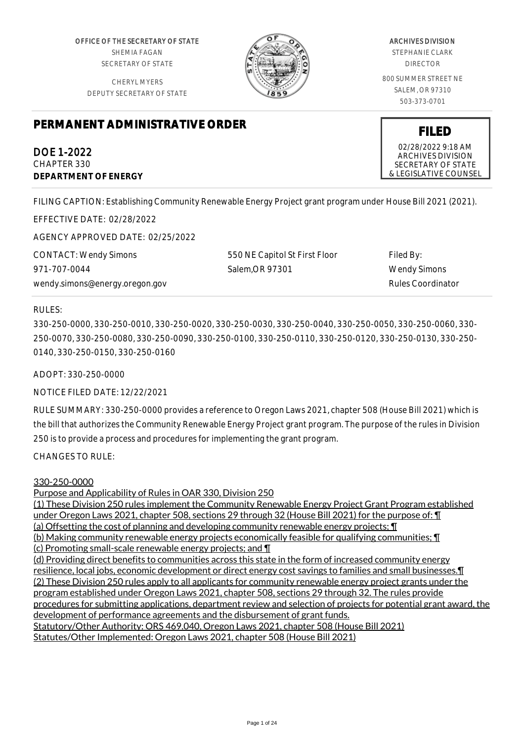OFFICE OF THE SECRETARY OF STATE SHEMIA FAGAN SECRETARY OF STATE

CHERYL MYERS DEPUTY SECRETARY OF STATE



# ARCHIVES DIVISION

STEPHANIE CLARK DIRECTOR

800 SUMMER STREET NE SALEM, OR 97310 503-373-0701

# **PERMANENT ADMINISTRATIVE ORDER**

DOE 1-2022 CHAPTER 330 **DEPARTMENT OF ENERGY**

**FILED** 02/28/2022 9:18 AM ARCHIVES DIVISION

SECRETARY OF STATE & LEGISLATIVE COUNSEL

FILING CAPTION: Establishing Community Renewable Energy Project grant program under House Bill 2021 (2021).

EFFECTIVE DATE: 02/28/2022

AGENCY APPROVED DATE: 02/25/2022

CONTACT: Wendy Simons 971-707-0044 wendy.simons@energy.oregon.gov 550 NE Capitol St First Floor Salem,OR 97301

Filed By: Wendy Simons Rules Coordinator

## RULES:

330-250-0000, 330-250-0010, 330-250-0020, 330-250-0030, 330-250-0040, 330-250-0050, 330-250-0060, 330- 250-0070, 330-250-0080, 330-250-0090, 330-250-0100, 330-250-0110, 330-250-0120, 330-250-0130, 330-250- 0140, 330-250-0150, 330-250-0160

ADOPT: 330-250-0000

# NOTICE FILED DATE: 12/22/2021

RULE SUMMARY: 330-250-0000 provides a reference to Oregon Laws 2021, chapter 508 (House Bill 2021) which is the bill that authorizes the Community Renewable Energy Project grant program. The purpose of the rules in Division 250 is to provide a process and procedures for implementing the grant program.

CHANGES TO RULE:

#### 330-250-0000

Purpose and Applicability of Rules in OAR 330, Division 250

(1) These Division 250 rules implement the Community Renewable Energy Project Grant Program established under Oregon Laws 2021, chapter 508, sections 29 through 32 (House Bill 2021) for the purpose of: ¶

(a) Offsetting the cost of planning and developing community renewable energy projects; ¶

(b) Making community renewable energy projects economically feasible for qualifying communities; ¶

(c) Promoting small-scale renewable energy projects; and ¶

(d) Providing direct benefits to communities across this state in the form of increased community energy resilience, local jobs, economic development or direct energy cost savings to families and small businesses.¶ (2) These Division 250 rules apply to all applicants for community renewable energy project grants under the program established under Oregon Laws 2021, chapter 508, sections 29 through 32. The rules provide procedures for submitting applications, department review and selection of projects for potential grant award, the development of performance agreements and the disbursement of grant funds. Statutory/Other Authority: ORS 469.040, Oregon Laws 2021, chapter 508 (House Bill 2021) Statutes/Other Implemented: Oregon Laws 2021, chapter 508 (House Bill 2021)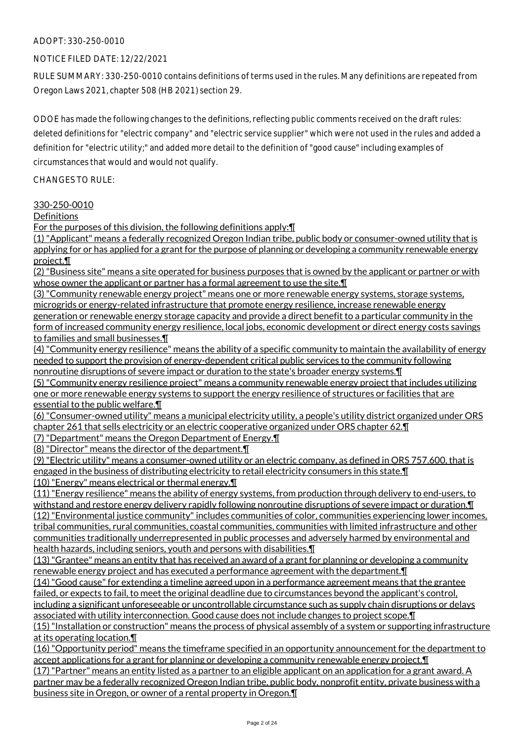### NOTICE FILED DATE: 12/22/2021

RULE SUMMARY: 330-250-0010 contains definitions of terms used in the rules. Many definitions are repeated from Oregon Laws 2021, chapter 508 (HB 2021) section 29.

ODOE has made the following changes to the definitions, reflecting public comments received on the draft rules: deleted definitions for "electric company" and "electric service supplier" which were not used in the rules and added a definition for "electric utility;" and added more detail to the definition of "good cause" including examples of circumstances that would and would not qualify.

CHANGES TO RULE:

#### 330-250-0010

**Definitions** 

For the purposes of this division, the following definitions apply:¶

(1) "Applicant" means a federally recognized Oregon Indian tribe, public body or consumer-owned utility that is applying for or has applied for a grant for the purpose of planning or developing a community renewable energy project.¶

(2) "Business site" means a site operated for business purposes that is owned by the applicant or partner or with whose owner the applicant or partner has a formal agreement to use the site. I

(3) "Community renewable energy project" means one or more renewable energy systems, storage systems, microgrids or energy-related infrastructure that promote energy resilience, increase renewable energy generation or renewable energy storage capacity and provide a direct benefit to a particular community in the form of increased community energy resilience, local jobs, economic development or direct energy costs savings to families and small businesses.¶

(4) "Community energy resilience" means the ability of a specific community to maintain the availability of energy needed to support the provision of energy-dependent critical public services to the community following nonroutine disruptions of severe impact or duration to the state's broader energy systems.¶

(5) "Community energy resilience project" means a community renewable energy project that includes utilizing one or more renewable energy systems to support the energy resilience of structures or facilities that are essential to the public welfare.¶

(6) "Consumer-owned utility" means a municipal electricity utility, a people's utility district organized under ORS chapter 261 that sells electricity or an electric cooperative organized under ORS chapter 62.¶

(7) "Department" means the Oregon Department of Energy.¶

business site in Oregon, or owner of a rental property in Oregon.¶

(8) "Director" means the director of the department.¶

(9) "Electric utility" means a consumer-owned utility or an electric company, as defined in ORS 757.600, that is engaged in the business of distributing electricity to retail electricity consumers in this state.¶

(10) "Energy" means electrical or thermal energy.¶

(11) "Energy resilience" means the ability of energy systems, from production through delivery to end-users, to withstand and restore energy delivery rapidly following nonroutine disruptions of severe impact or duration. I (12) "Environmental justice community" includes communities of color, communities experiencing lower incomes, tribal communities, rural communities, coastal communities, communities with limited infrastructure and other communities traditionally underrepresented in public processes and adversely harmed by environmental and health hazards, including seniors, youth and persons with disabilities. In

(13) "Grantee" means an entity that has received an award of a grant for planning or developing a community renewable energy project and has executed a performance agreement with the department.¶

(14) "Good cause" for extending a timeline agreed upon in a performance agreement means that the grantee failed, or expects to fail, to meet the original deadline due to circumstances beyond the applicant's control, including a significant unforeseeable or uncontrollable circumstance such as supply chain disruptions or delays

associated with utility interconnection. Good cause does not include changes to project scope.¶

(15) "Installation or construction" means the process of physical assembly of a system or supporting infrastructure at its operating location.¶

(16) "Opportunity period" means the timeframe specified in an opportunity announcement for the department to accept applications for a grant for planning or developing a community renewable energy project.¶ (17) "Partner" means an entity listed as a partner to an eligible applicant on an application for a grant award. A partner may be a federally recognized Oregon Indian tribe, public body, nonprofit entity, private business with a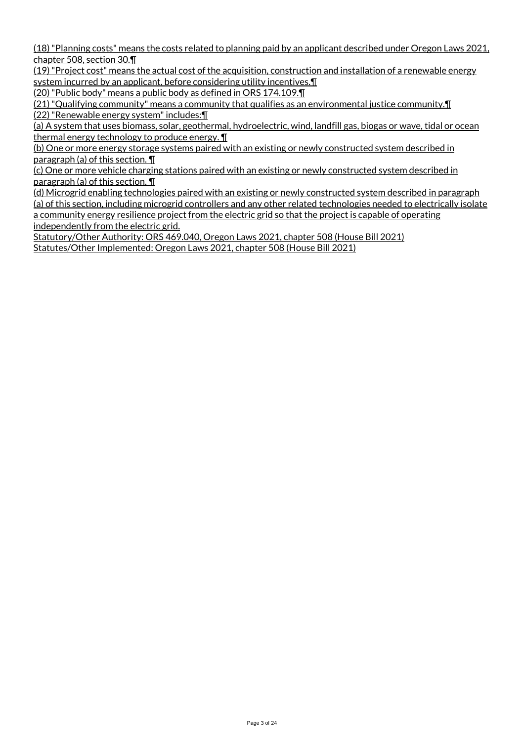(18) "Planning costs" means the costs related to planning paid by an applicant described under Oregon Laws 2021, chapter 508, section 30.¶

(19) "Project cost" means the actual cost of the acquisition, construction and installation of a renewable energy system incurred by an applicant, before considering utility incentives. I

(20) "Public body" means a public body as defined in ORS 174.109.¶

(21) "Qualifying community" means a community that qualifies as an environmental justice community.¶ (22) "Renewable energy system" includes:¶

(a) A system that uses biomass, solar, geothermal, hydroelectric, wind, landfill gas, biogas or wave, tidal or ocean thermal energy technology to produce energy. ¶

(b) One or more energy storage systems paired with an existing or newly constructed system described in paragraph (a) of this section. ¶

(c) One or more vehicle charging stations paired with an existing or newly constructed system described in paragraph (a) of this section. ¶

(d) Microgrid enabling technologies paired with an existing or newly constructed system described in paragraph (a) of this section, including microgrid controllers and any other related technologies needed to electrically isolate a community energy resilience project from the electric grid so that the project is capable of operating independently from the electric grid.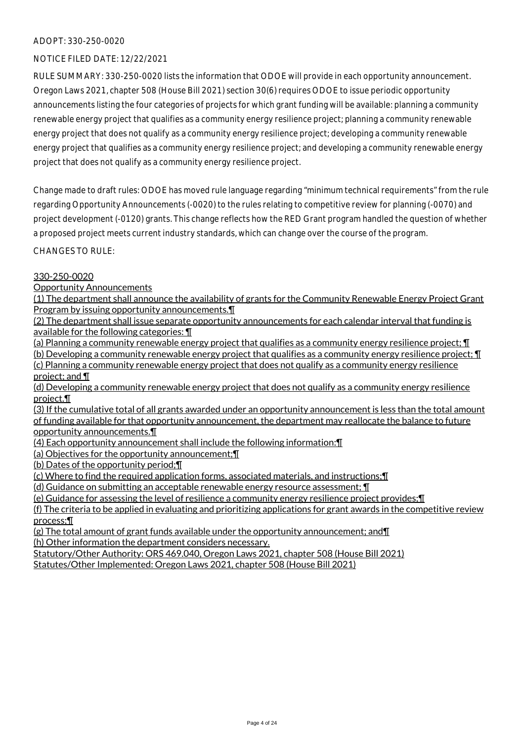## NOTICE FILED DATE: 12/22/2021

RULE SUMMARY: 330-250-0020 lists the information that ODOE will provide in each opportunity announcement. Oregon Laws 2021, chapter 508 (House Bill 2021) section 30(6) requires ODOE to issue periodic opportunity announcements listing the four categories of projects for which grant funding will be available: planning a community renewable energy project that qualifies as a community energy resilience project; planning a community renewable energy project that does not qualify as a community energy resilience project; developing a community renewable energy project that qualifies as a community energy resilience project; and developing a community renewable energy project that does not qualify as a community energy resilience project.

Change made to draft rules: ODOE has moved rule language regarding "minimum technical requirements" from the rule regarding Opportunity Announcements (-0020) to the rules relating to competitive review for planning (-0070) and project development (-0120) grants. This change reflects how the RED Grant program handled the question of whether a proposed project meets current industry standards, which can change over the course of the program.

CHANGES TO RULE:

#### 330-250-0020

Opportunity Announcements

(1) The department shall announce the availability of grants for the Community Renewable Energy Project Grant Program by issuing opportunity announcements.¶

(2) The department shall issue separate opportunity announcements for each calendar interval that funding is available for the following categories: ¶

(a) Planning a community renewable energy project that qualifies as a community energy resilience project; ¶

(b) Developing a community renewable energy project that qualifies as a community energy resilience project; ¶ (c) Planning a community renewable energy project that does not qualify as a community energy resilience project; and ¶

(d) Developing a community renewable energy project that does not qualify as a community energy resilience project.¶

(3) If the cumulative total of all grants awarded under an opportunity announcement is less than the total amount of funding available for that opportunity announcement, the department may reallocate the balance to future opportunity announcements.¶

(4) Each opportunity announcement shall include the following information:¶

(a) Objectives for the opportunity announcement;¶

(b) Dates of the opportunity period;¶

(c) Where to find the required application forms, associated materials, and instructions;¶

(d) Guidance on submitting an acceptable renewable energy resource assessment; ¶

(e) Guidance for assessing the level of resilience a community energy resilience project provides;¶

(f) The criteria to be applied in evaluating and prioritizing applications for grant awards in the competitive review process;¶

(g) The total amount of grant funds available under the opportunity announcement; and¶ (h) Other information the department considers necessary.

Statutory/Other Authority: ORS 469.040, Oregon Laws 2021, chapter 508 (House Bill 2021)

Statutes/Other Implemented: Oregon Laws 2021, chapter 508 (House Bill 2021)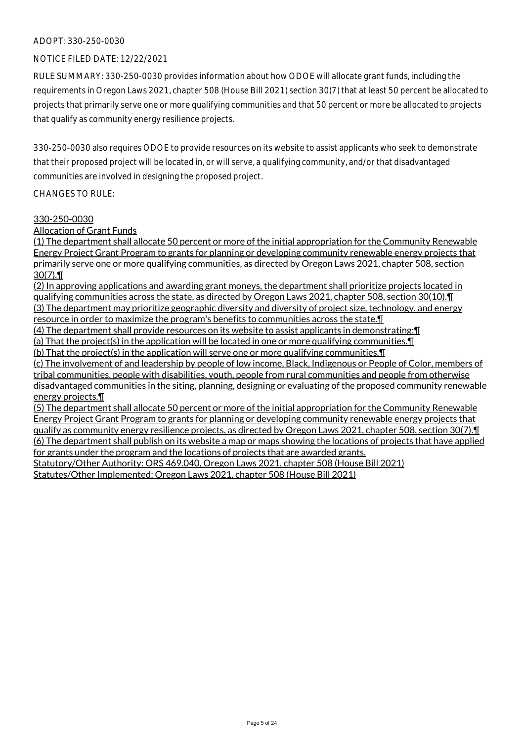## NOTICE FILED DATE: 12/22/2021

RULE SUMMARY: 330-250-0030 provides information about how ODOE will allocate grant funds, including the requirements in Oregon Laws 2021, chapter 508 (House Bill 2021) section 30(7) that at least 50 percent be allocated to projects that primarily serve one or more qualifying communities and that 50 percent or more be allocated to projects that qualify as community energy resilience projects.

330-250-0030 also requires ODOE to provide resources on its website to assist applicants who seek to demonstrate that their proposed project will be located in, or will serve, a qualifying community, and/or that disadvantaged communities are involved in designing the proposed project.

#### CHANGES TO RULE:

#### 330-250-0030

Allocation of Grant Funds

(1) The department shall allocate 50 percent or more of the initial appropriation for the Community Renewable Energy Project Grant Program to grants for planning or developing community renewable energy projects that primarily serve one or more qualifying communities, as directed by Oregon Laws 2021, chapter 508, section 30(7).¶

(2) In approving applications and awarding grant moneys, the department shall prioritize projects located in qualifying communities across the state, as directed by Oregon Laws 2021, chapter 508, section 30(10).¶ (3) The department may prioritize geographic diversity and diversity of project size, technology, and energy

resource in order to maximize the program's benefits to communities across the state.¶

(4) The department shall provide resources on its website to assist applicants in demonstrating:¶

(a) That the project(s) in the application will be located in one or more qualifying communities.¶

(b) That the project(s) in the application will serve one or more qualifying communities.¶

(c) The involvement of and leadership by people of low income, Black, Indigenous or People of Color, members of tribal communities, people with disabilities, youth, people from rural communities and people from otherwise disadvantaged communities in the siting, planning, designing or evaluating of the proposed community renewable energy projects.¶

(5) The department shall allocate 50 percent or more of the initial appropriation for the Community Renewable Energy Project Grant Program to grants for planning or developing community renewable energy projects that qualify as community energy resilience projects, as directed by Oregon Laws 2021, chapter 508, section 30(7).¶ (6) The department shall publish on its website a map or maps showing the locations of projects that have applied for grants under the program and the locations of projects that are awarded grants.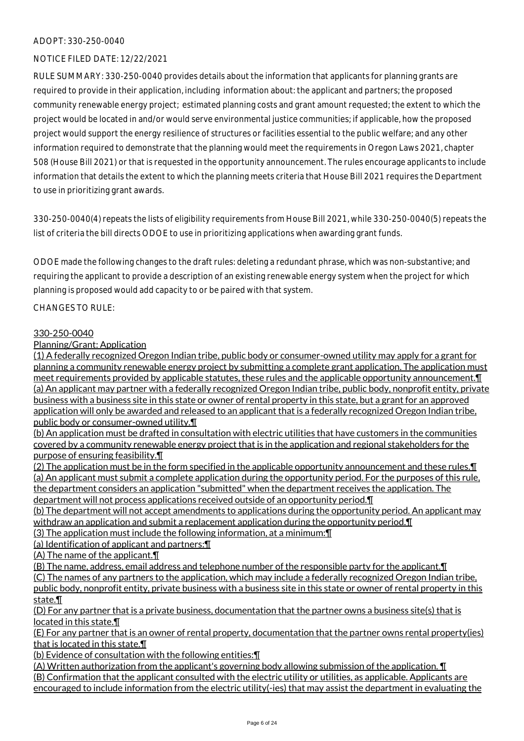## NOTICE FILED DATE: 12/22/2021

RULE SUMMARY: 330-250-0040 provides details about the information that applicants for planning grants are required to provide in their application, including information about: the applicant and partners; the proposed community renewable energy project; estimated planning costs and grant amount requested; the extent to which the project would be located in and/or would serve environmental justice communities; if applicable, how the proposed project would support the energy resilience of structures or facilities essential to the public welfare; and any other information required to demonstrate that the planning would meet the requirements in Oregon Laws 2021, chapter 508 (House Bill 2021) or that is requested in the opportunity announcement. The rules encourage applicants to include information that details the extent to which the planning meets criteria that House Bill 2021 requires the Department to use in prioritizing grant awards.

330-250-0040(4) repeats the lists of eligibility requirements from House Bill 2021, while 330-250-0040(5) repeats the list of criteria the bill directs ODOE to use in prioritizing applications when awarding grant funds.

ODOE made the following changes to the draft rules: deleting a redundant phrase, which was non-substantive; and requiring the applicant to provide a description of an existing renewable energy system when the project for which planning is proposed would add capacity to or be paired with that system.

CHANGES TO RULE:

## 330-250-0040

# Planning/Grant: Application

(1) A federally recognized Oregon Indian tribe, public body or consumer-owned utility may apply for a grant for planning a community renewable energy project by submitting a complete grant application. The application must meet requirements provided by applicable statutes, these rules and the applicable opportunity announcement.¶ (a) An applicant may partner with a federally recognized Oregon Indian tribe, public body, nonprofit entity, private business with a business site in this state or owner of rental property in this state, but a grant for an approved application will only be awarded and released to an applicant that is a federally recognized Oregon Indian tribe, public body or consumer-owned utility.¶

(b) An application must be drafted in consultation with electric utilities that have customers in the communities covered by a community renewable energy project that is in the application and regional stakeholders for the purpose of ensuring feasibility.¶

(2) The application must be in the form specified in the applicable opportunity announcement and these rules.¶ (a) An applicant must submit a complete application during the opportunity period. For the purposes of this rule, the department considers an application "submitted" when the department receives the application. The department will not process applications received outside of an opportunity period.¶

(b) The department will not accept amendments to applications during the opportunity period. An applicant may withdraw an application and submit a replacement application during the opportunity period. I

(3) The application must include the following information, at a minimum:¶

(a) Identification of applicant and partners:¶

(A) The name of the applicant.¶

(B) The name, address, email address and telephone number of the responsible party for the applicant.¶

(C) The names of any partners to the application, which may include a federally recognized Oregon Indian tribe,

public body, nonprofit entity, private business with a business site in this state or owner of rental property in this state.¶

(D) For any partner that is a private business, documentation that the partner owns a business site(s) that is located in this state.¶

(E) For any partner that is an owner of rental property, documentation that the partner owns rental property(ies) that is located in this state.¶

(b) Evidence of consultation with the following entities:¶

(A) Written authorization from the applicant's governing body allowing submission of the application. ¶ (B) Confirmation that the applicant consulted with the electric utility or utilities, as applicable. Applicants are encouraged to include information from the electric utility(-ies) that may assist the department in evaluating the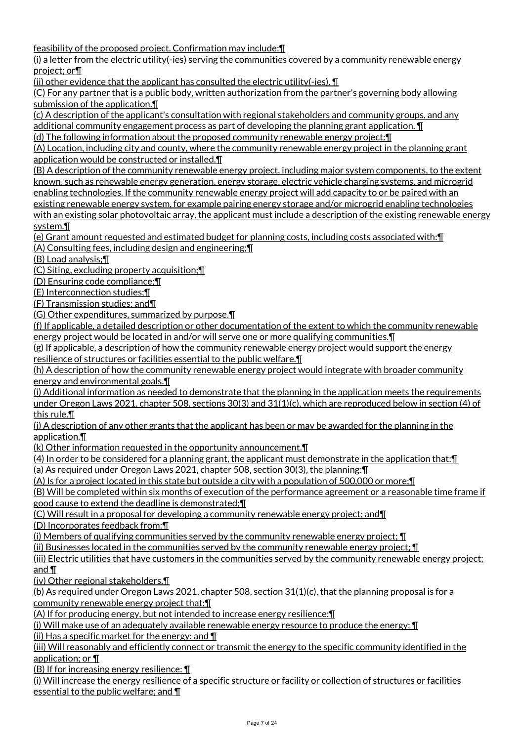feasibility of the proposed project. Confirmation may include:¶

(i) a letter from the electric utility(-ies) serving the communities covered by a community renewable energy project; or¶

(ii) other evidence that the applicant has consulted the electric utility(-ies).  $\P$ 

(C) For any partner that is a public body, written authorization from the partner's governing body allowing submission of the application.¶

(c) A description of the applicant's consultation with regional stakeholders and community groups, and any additional community engagement process as part of developing the planning grant application. ¶

(d) The following information about the proposed community renewable energy project:¶

(A) Location, including city and county, where the community renewable energy project in the planning grant application would be constructed or installed.¶

(B) A description of the community renewable energy project, including major system components, to the extent known, such as renewable energy generation, energy storage, electric vehicle charging systems, and microgrid enabling technologies. If the community renewable energy project will add capacity to or be paired with an existing renewable energy system, for example pairing energy storage and/or microgrid enabling technologies with an existing solar photovoltaic array, the applicant must include a description of the existing renewable energy system.¶

(e) Grant amount requested and estimated budget for planning costs, including costs associated with:¶ (A) Consulting fees, including design and engineering;¶

(B) Load analysis;¶

(C) Siting, excluding property acquisition;¶

(D) Ensuring code compliance;¶

(E) Interconnection studies;¶

(F) Transmission studies; and¶

(G) Other expenditures, summarized by purpose.¶

(f) If applicable, a detailed description or other documentation of the extent to which the community renewable energy project would be located in and/or will serve one or more qualifying communities.¶

(g) If applicable, a description of how the community renewable energy project would support the energy resilience of structures or facilities essential to the public welfare.¶

(h) A description of how the community renewable energy project would integrate with broader community energy and environmental goals.¶

(i) Additional information as needed to demonstrate that the planning in the application meets the requirements under Oregon Laws 2021, chapter 508, sections 30(3) and 31(1)(c), which are reproduced below in section (4) of this rule.¶

(j) A description of any other grants that the applicant has been or may be awarded for the planning in the application.¶

(k) Other information requested in the opportunity announcement.¶

(4) In order to be considered for a planning grant, the applicant must demonstrate in the application that:¶

(a) As required under Oregon Laws 2021, chapter 508, section 30(3), the planning:¶

(A) Is for a project located in this state but outside a city with a population of 500,000 or more;¶

(B) Will be completed within six months of execution of the performance agreement or a reasonable time frame if good cause to extend the deadline is demonstrated;¶

(C) Will result in a proposal for developing a community renewable energy project; and¶

(D) Incorporates feedback from:¶

(i) Members of qualifying communities served by the community renewable energy project; ¶

(ii) Businesses located in the communities served by the community renewable energy project; ¶

(iii) Electric utilities that have customers in the communities served by the community renewable energy project; and ¶

(iv) Other regional stakeholders.¶

(b) As required under Oregon Laws 2021, chapter 508, section 31(1)(c), that the planning proposal is for a community renewable energy project that:¶

(A) If for producing energy, but not intended to increase energy resilience:¶

(i) Will make use of an adequately available renewable energy resource to produce the energy; ¶

(ii) Has a specific market for the energy; and  $\P$ 

(iii) Will reasonably and efficiently connect or transmit the energy to the specific community identified in the application; or ¶

(B) If for increasing energy resilience: ¶

(i) Will increase the energy resilience of a specific structure or facility or collection of structures or facilities essential to the public welfare; and ¶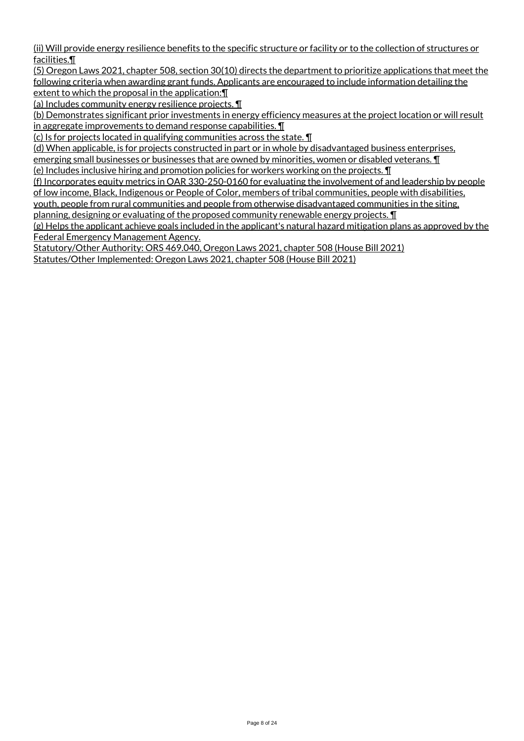(ii) Will provide energy resilience benefits to the specific structure or facility or to the collection of structures or facilities.¶

(5) Oregon Laws 2021, chapter 508, section 30(10) directs the department to prioritize applications that meet the following criteria when awarding grant funds. Applicants are encouraged to include information detailing the extent to which the proposal in the application:¶

(a) Includes community energy resilience projects. ¶

(b) Demonstrates significant prior investments in energy efficiency measures at the project location or will result in aggregate improvements to demand response capabilities. ¶

(c) Is for projects located in qualifying communities across the state. ¶

(d) When applicable, is for projects constructed in part or in whole by disadvantaged business enterprises,

emerging small businesses or businesses that are owned by minorities, women or disabled veterans. ¶

(e) Includes inclusive hiring and promotion policies for workers working on the projects. ¶

(f) Incorporates equity metrics in OAR 330-250-0160 for evaluating the involvement of and leadership by people of low income, Black, Indigenous or People of Color, members of tribal communities, people with disabilities,

youth, people from rural communities and people from otherwise disadvantaged communities in the siting,

planning, designing or evaluating of the proposed community renewable energy projects. ¶

(g) Helps the applicant achieve goals included in the applicant's natural hazard mitigation plans as approved by the Federal Emergency Management Agency.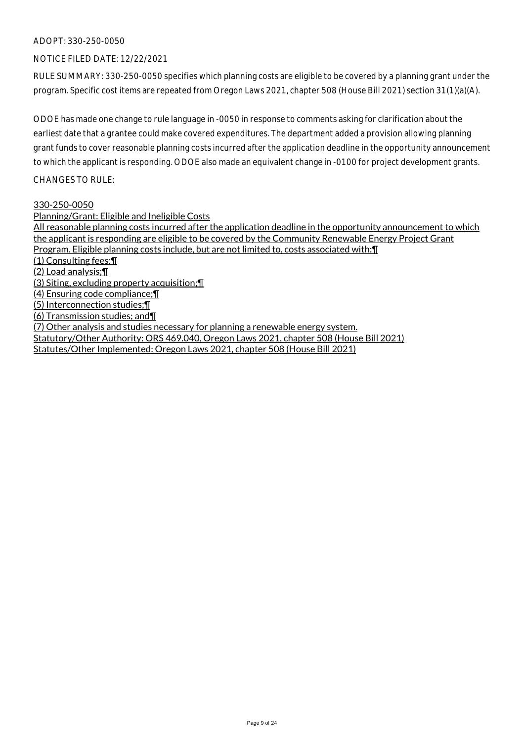### NOTICE FILED DATE: 12/22/2021

RULE SUMMARY: 330-250-0050 specifies which planning costs are eligible to be covered by a planning grant under the program. Specific cost items are repeated from Oregon Laws 2021, chapter 508 (House Bill 2021) section 31(1)(a)(A).

ODOE has made one change to rule language in -0050 in response to comments asking for clarification about the earliest date that a grantee could make covered expenditures. The department added a provision allowing planning grant funds to cover reasonable planning costs incurred after the application deadline in the opportunity announcement to which the applicant is responding. ODOE also made an equivalent change in -0100 for project development grants.

CHANGES TO RULE:

#### 330-250-0050

Planning/Grant: Eligible and Ineligible Costs

All reasonable planning costs incurred after the application deadline in the opportunity announcement to which the applicant is responding are eligible to be covered by the Community Renewable Energy Project Grant Program. Eligible planning costs include, but are not limited to, costs associated with:¶

(1) Consulting fees;¶

(2) Load analysis;¶

(3) Siting, excluding property acquisition;¶

(4) Ensuring code compliance;¶

(5) Interconnection studies;¶

(6) Transmission studies; and¶

(7) Other analysis and studies necessary for planning a renewable energy system.

Statutory/Other Authority: ORS 469.040, Oregon Laws 2021, chapter 508 (House Bill 2021)

Statutes/Other Implemented: Oregon Laws 2021, chapter 508 (House Bill 2021)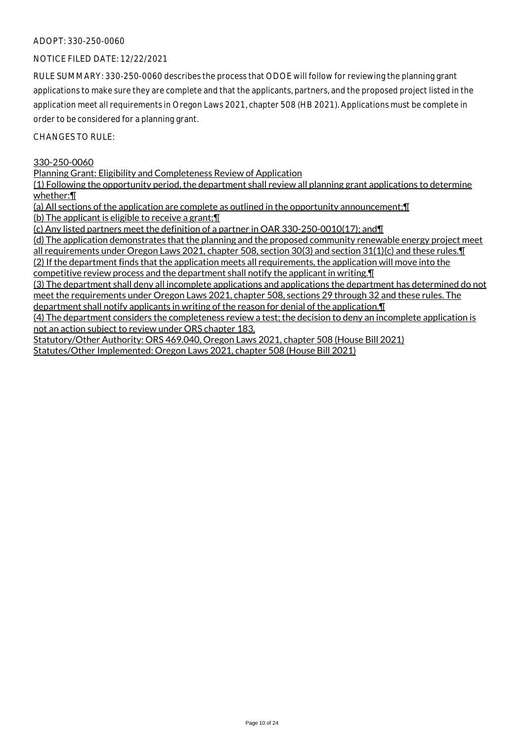### NOTICE FILED DATE: 12/22/2021

RULE SUMMARY: 330-250-0060 describes the process that ODOE will follow for reviewing the planning grant applications to make sure they are complete and that the applicants, partners, and the proposed project listed in the application meet all requirements in Oregon Laws 2021, chapter 508 (HB 2021). Applications must be complete in order to be considered for a planning grant.

CHANGES TO RULE:

#### 330-250-0060

Planning Grant: Eligibility and Completeness Review of Application

(1) Following the opportunity period, the department shall review all planning grant applications to determine whether:¶

(a) All sections of the application are complete as outlined in the opportunity announcement;¶

(b) The applicant is eligible to receive a grant;¶

(c) Any listed partners meet the definition of a partner in OAR 330-250-0010(17); and¶

(d) The application demonstrates that the planning and the proposed community renewable energy project meet all requirements under Oregon Laws 2021, chapter 508, section 30(3) and section 31(1)(c) and these rules.¶ (2) If the department finds that the application meets all requirements, the application will move into the

competitive review process and the department shall notify the applicant in writing.¶

(3) The department shall deny all incomplete applications and applications the department has determined do not meet the requirements under Oregon Laws 2021, chapter 508, sections 29 through 32 and these rules. The department shall notify applicants in writing of the reason for denial of the application.¶

(4) The department considers the completeness review a test; the decision to deny an incomplete application is not an action subject to review under ORS chapter 183.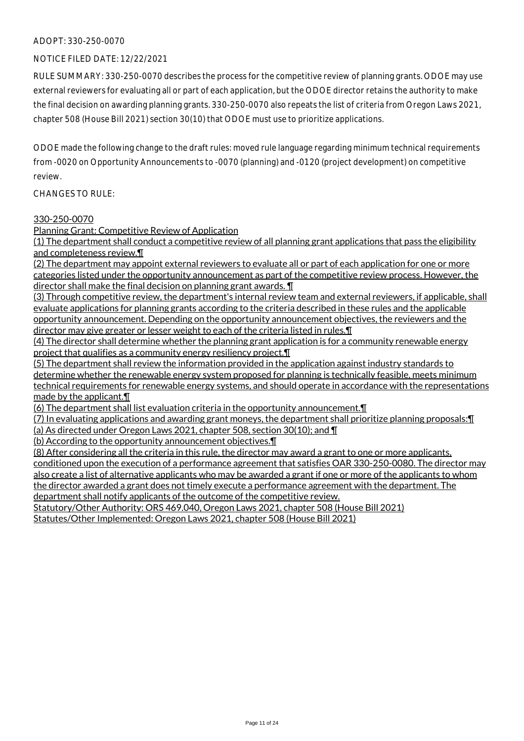#### NOTICE FILED DATE: 12/22/2021

RULE SUMMARY: 330-250-0070 describes the process for the competitive review of planning grants. ODOE may use external reviewers for evaluating all or part of each application, but the ODOE director retains the authority to make the final decision on awarding planning grants. 330-250-0070 also repeats the list of criteria from Oregon Laws 2021, chapter 508 (House Bill 2021) section 30(10) that ODOE must use to prioritize applications.

ODOE made the following change to the draft rules: moved rule language regarding minimum technical requirements from -0020 on Opportunity Announcements to -0070 (planning) and -0120 (project development) on competitive review.

CHANGES TO RULE:

#### 330-250-0070

Planning Grant: Competitive Review of Application

(1) The department shall conduct a competitive review of all planning grant applications that pass the eligibility and completeness review.¶

(2) The department may appoint external reviewers to evaluate all or part of each application for one or more categories listed under the opportunity announcement as part of the competitive review process. However, the director shall make the final decision on planning grant awards. ¶

(3) Through competitive review, the department's internal review team and external reviewers, if applicable, shall evaluate applications for planning grants according to the criteria described in these rules and the applicable opportunity announcement. Depending on the opportunity announcement objectives, the reviewers and the director may give greater or lesser weight to each of the criteria listed in rules.¶

(4) The director shall determine whether the planning grant application is for a community renewable energy project that qualifies as a community energy resiliency project.¶

(5) The department shall review the information provided in the application against industry standards to determine whether the renewable energy system proposed for planning is technically feasible, meets minimum technical requirements for renewable energy systems, and should operate in accordance with the representations made by the applicant.¶

(6) The department shall list evaluation criteria in the opportunity announcement.¶

(7) In evaluating applications and awarding grant moneys, the department shall prioritize planning proposals:¶

(a) As directed under Oregon Laws 2021, chapter 508, section 30(10); and ¶

(b) According to the opportunity announcement objectives.¶

(8) After considering all the criteria in this rule, the director may award a grant to one or more applicants, conditioned upon the execution of a performance agreement that satisfies OAR 330-250-0080. The director may also create a list of alternative applicants who may be awarded a grant if one or more of the applicants to whom the director awarded a grant does not timely execute a performance agreement with the department. The department shall notify applicants of the outcome of the competitive review.

Statutory/Other Authority: ORS 469.040, Oregon Laws 2021, chapter 508 (House Bill 2021)

Statutes/Other Implemented: Oregon Laws 2021, chapter 508 (House Bill 2021)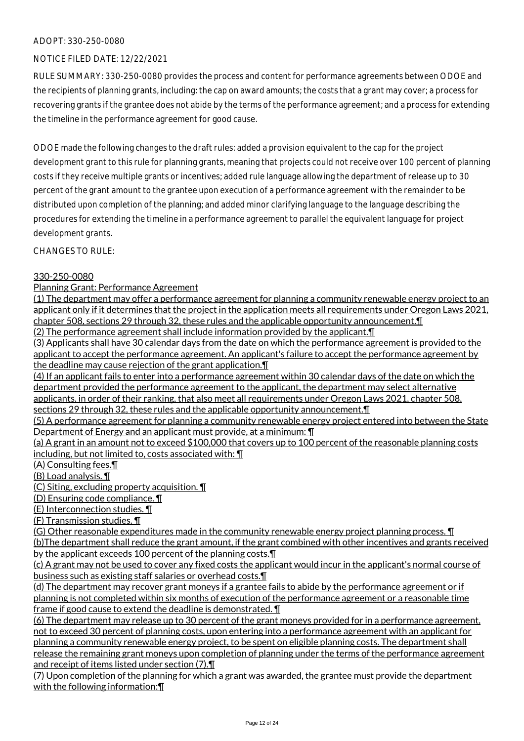## NOTICE FILED DATE: 12/22/2021

RULE SUMMARY: 330-250-0080 provides the process and content for performance agreements between ODOE and the recipients of planning grants, including: the cap on award amounts; the costs that a grant may cover; a process for recovering grants if the grantee does not abide by the terms of the performance agreement; and a process for extending the timeline in the performance agreement for good cause.

ODOE made the following changes to the draft rules: added a provision equivalent to the cap for the project development grant to this rule for planning grants, meaning that projects could not receive over 100 percent of planning costs if they receive multiple grants or incentives; added rule language allowing the department of release up to 30 percent of the grant amount to the grantee upon execution of a performance agreement with the remainder to be distributed upon completion of the planning; and added minor clarifying language to the language describing the procedures for extending the timeline in a performance agreement to parallel the equivalent language for project development grants.

CHANGES TO RULE:

## 330-250-0080

Planning Grant: Performance Agreement

(1) The department may offer a performance agreement for planning a community renewable energy project to an applicant only if it determines that the project in the application meets all requirements under Oregon Laws 2021, chapter 508, sections 29 through 32, these rules and the applicable opportunity announcement.¶ (2) The performance agreement shall include information provided by the applicant.¶

(3) Applicants shall have 30 calendar days from the date on which the performance agreement is provided to the applicant to accept the performance agreement. An applicant's failure to accept the performance agreement by the deadline may cause rejection of the grant application.¶

(4) If an applicant fails to enter into a performance agreement within 30 calendar days of the date on which the department provided the performance agreement to the applicant, the department may select alternative applicants, in order of their ranking, that also meet all requirements under Oregon Laws 2021, chapter 508, sections 29 through 32, these rules and the applicable opportunity announcement.¶

(5) A performance agreement for planning a community renewable energy project entered into between the State Department of Energy and an applicant must provide, at a minimum: ¶

(a) A grant in an amount not to exceed \$100,000 that covers up to 100 percent of the reasonable planning costs including, but not limited to, costs associated with: ¶

(A) Consulting fees.¶

(B) Load analysis. ¶

(C) Siting, excluding property acquisition. ¶

(D) Ensuring code compliance. ¶

(E) Interconnection studies. ¶

(F) Transmission studies. ¶

(G) Other reasonable expenditures made in the community renewable energy project planning process. ¶ (b)The department shall reduce the grant amount, if the grant combined with other incentives and grants received by the applicant exceeds 100 percent of the planning costs.¶

(c) A grant may not be used to cover any fixed costs the applicant would incur in the applicant's normal course of business such as existing staff salaries or overhead costs.¶

(d) The department may recover grant moneys if a grantee fails to abide by the performance agreement or if planning is not completed within six months of execution of the performance agreement or a reasonable time frame if good cause to extend the deadline is demonstrated.  $\P$ 

(6) The department may release up to 30 percent of the grant moneys provided for in a performance agreement, not to exceed 30 percent of planning costs, upon entering into a performance agreement with an applicant for planning a community renewable energy project, to be spent on eligible planning costs. The department shall release the remaining grant moneys upon completion of planning under the terms of the performance agreement and receipt of items listed under section (7).¶

(7) Upon completion of the planning for which a grant was awarded, the grantee must provide the department with the following information:¶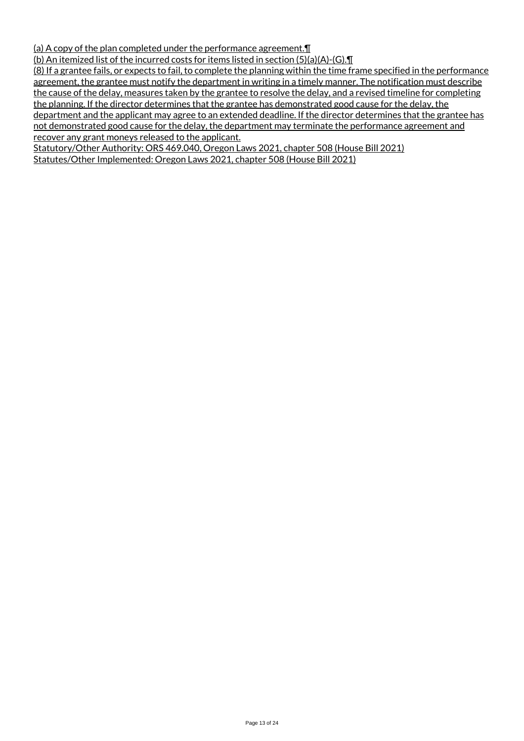(a) A copy of the plan completed under the performance agreement.¶

(b) An itemized list of the incurred costs for items listed in section (5)(a)(A)-(G).¶

(8) If a grantee fails, or expects to fail, to complete the planning within the time frame specified in the performance agreement, the grantee must notify the department in writing in a timely manner. The notification must describe the cause of the delay, measures taken by the grantee to resolve the delay, and a revised timeline for completing the planning. If the director determines that the grantee has demonstrated good cause for the delay, the department and the applicant may agree to an extended deadline. If the director determines that the grantee has not demonstrated good cause for the delay, the department may terminate the performance agreement and recover any grant moneys released to the applicant.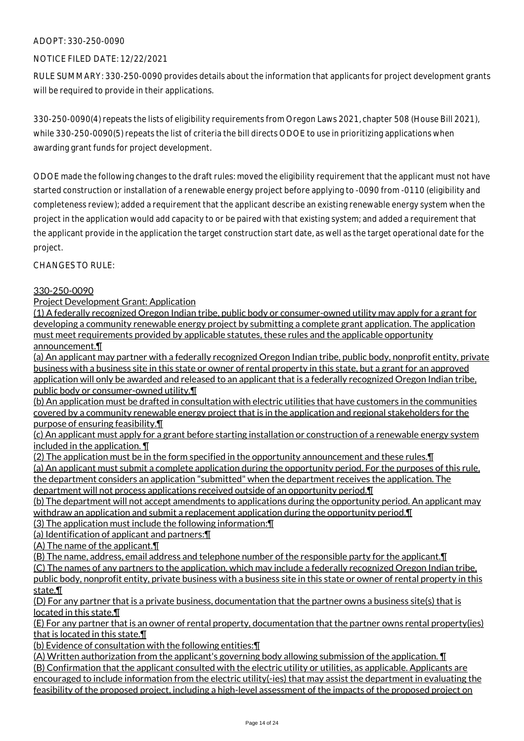# NOTICE FILED DATE: 12/22/2021

RULE SUMMARY: 330-250-0090 provides details about the information that applicants for project development grants will be required to provide in their applications.

330-250-0090(4) repeats the lists of eligibility requirements from Oregon Laws 2021, chapter 508 (House Bill 2021), while 330-250-0090(5) repeats the list of criteria the bill directs ODOE to use in prioritizing applications when awarding grant funds for project development.

ODOE made the following changes to the draft rules: moved the eligibility requirement that the applicant must not have started construction or installation of a renewable energy project before applying to -0090 from -0110 (eligibility and completeness review); added a requirement that the applicant describe an existing renewable energy system when the project in the application would add capacity to or be paired with that existing system; and added a requirement that the applicant provide in the application the target construction start date, as well as the target operational date for the project.

CHANGES TO RULE:

## 330-250-0090

Project Development Grant: Application

(1) A federally recognized Oregon Indian tribe, public body or consumer-owned utility may apply for a grant for developing a community renewable energy project by submitting a complete grant application. The application must meet requirements provided by applicable statutes, these rules and the applicable opportunity announcement.¶

(a) An applicant may partner with a federally recognized Oregon Indian tribe, public body, nonprofit entity, private business with a business site in this state or owner of rental property in this state, but a grant for an approved application will only be awarded and released to an applicant that is a federally recognized Oregon Indian tribe, public body or consumer-owned utility.¶

(b) An application must be drafted in consultation with electric utilities that have customers in the communities covered by a community renewable energy project that is in the application and regional stakeholders for the purpose of ensuring feasibility.¶

(c) An applicant must apply for a grant before starting installation or construction of a renewable energy system included in the application. ¶

(2) The application must be in the form specified in the opportunity announcement and these rules.¶ (a) An applicant must submit a complete application during the opportunity period. For the purposes of this rule, the department considers an application "submitted" when the department receives the application. The department will not process applications received outside of an opportunity period.¶

(b) The department will not accept amendments to applications during the opportunity period. An applicant may withdraw an application and submit a replacement application during the opportunity period.¶ (3) The application must include the following information:¶

(a) Identification of applicant and partners:¶

(A) The name of the applicant.¶

(B) The name, address, email address and telephone number of the responsible party for the applicant.¶

(C) The names of any partners to the application, which may include a federally recognized Oregon Indian tribe, public body, nonprofit entity, private business with a business site in this state or owner of rental property in this state.¶

(D) For any partner that is a private business, documentation that the partner owns a business site(s) that is located in this state.¶

(E) For any partner that is an owner of rental property, documentation that the partner owns rental property(ies) that is located in this state.¶

(b) Evidence of consultation with the following entities:¶

(A) Written authorization from the applicant's governing body allowing submission of the application. ¶ (B) Confirmation that the applicant consulted with the electric utility or utilities, as applicable. Applicants are encouraged to include information from the electric utility(-ies) that may assist the department in evaluating the feasibility of the proposed project, including a high-level assessment of the impacts of the proposed project on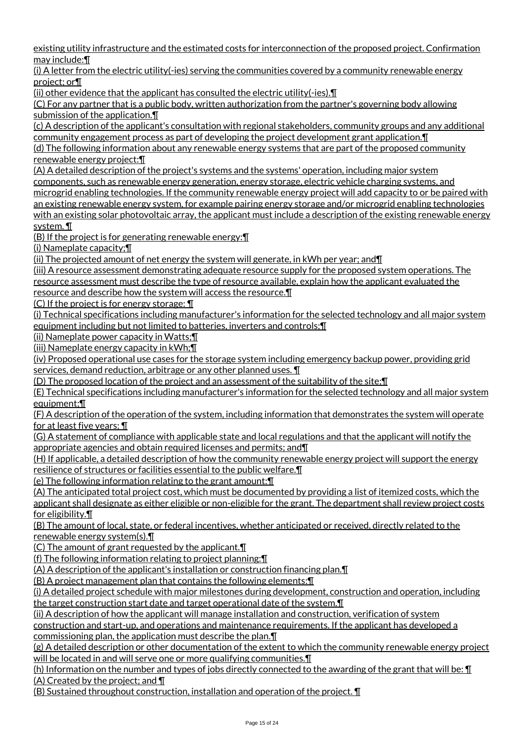existing utility infrastructure and the estimated costs for interconnection of the proposed project. Confirmation may include:¶

(i) A letter from the electric utility(-ies) serving the communities covered by a community renewable energy project; or¶

(ii) other evidence that the applicant has consulted the electric utility(-ies).¶

(C) For any partner that is a public body, written authorization from the partner's governing body allowing submission of the application.¶

(c) A description of the applicant's consultation with regional stakeholders, community groups and any additional community engagement process as part of developing the project development grant application.¶

(d) The following information about any renewable energy systems that are part of the proposed community renewable energy project:¶

(A) A detailed description of the project's systems and the systems' operation, including major system components, such as renewable energy generation, energy storage, electric vehicle charging systems, and microgrid enabling technologies. If the community renewable energy project will add capacity to or be paired with an existing renewable energy system, for example pairing energy storage and/or microgrid enabling technologies with an existing solar photovoltaic array, the applicant must include a description of the existing renewable energy system. ¶

(B) If the project is for generating renewable energy:¶

(i) Nameplate capacity;¶

(ii) The projected amount of net energy the system will generate, in kWh per year; and¶

(iii) A resource assessment demonstrating adequate resource supply for the proposed system operations. The resource assessment must describe the type of resource available, explain how the applicant evaluated the resource and describe how the system will access the resource.¶

(C) If the project is for energy storage: ¶

(i) Technical specifications including manufacturer's information for the selected technology and all major system equipment including but not limited to batteries, inverters and controls;¶

(ii) Nameplate power capacity in Watts;¶

(iii) Nameplate energy capacity in kWh;¶

(iv) Proposed operational use cases for the storage system including emergency backup power, providing grid services, demand reduction, arbitrage or any other planned uses. ¶

(D) The proposed location of the project and an assessment of the suitability of the site;¶

(E) Technical specifications including manufacturer's information for the selected technology and all major system equipment:¶

(F) A description of the operation of the system, including information that demonstrates the system will operate for at least five years; ¶

(G) A statement of compliance with applicable state and local regulations and that the applicant will notify the appropriate agencies and obtain required licenses and permits; and¶

(H) If applicable, a detailed description of how the community renewable energy project will support the energy resilience of structures or facilities essential to the public welfare.¶

(e) The following information relating to the grant amount:¶

(A) The anticipated total project cost, which must be documented by providing a list of itemized costs, which the applicant shall designate as either eligible or non-eligible for the grant. The department shall review project costs for eligibility.¶

(B) The amount of local, state, or federal incentives, whether anticipated or received, directly related to the renewable energy system(s).¶

(C) The amount of grant requested by the applicant.¶

(f) The following information relating to project planning:¶

(A) A description of the applicant's installation or construction financing plan.¶

(B) A project management plan that contains the following elements:¶

(i) A detailed project schedule with major milestones during development, construction and operation, including the target construction start date and target operational date of the system.¶

(ii) A description of how the applicant will manage installation and construction, verification of system

construction and start-up, and operations and maintenance requirements. If the applicant has developed a commissioning plan, the application must describe the plan.¶

(g) A detailed description or other documentation of the extent to which the community renewable energy project will be located in and will serve one or more qualifying communities. I

(h) Information on the number and types of jobs directly connected to the awarding of the grant that will be: ¶ (A) Created by the project; and ¶

(B) Sustained throughout construction, installation and operation of the project. ¶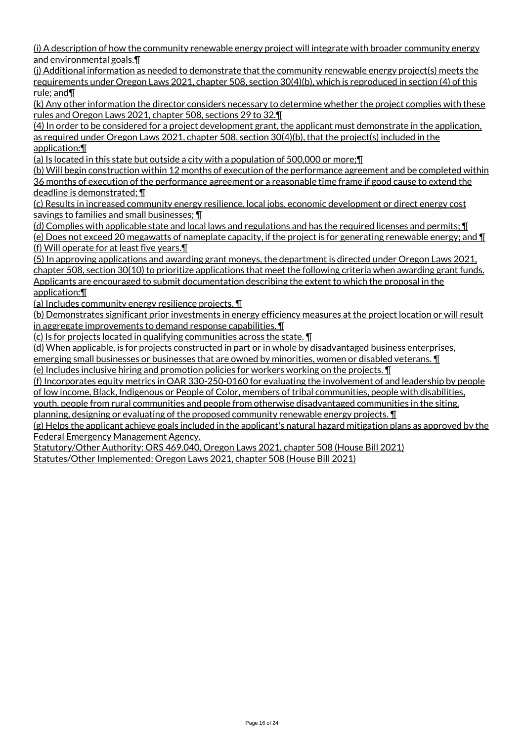(i) A description of how the community renewable energy project will integrate with broader community energy and environmental goals.¶

(j) Additional information as needed to demonstrate that the community renewable energy project(s) meets the requirements under Oregon Laws 2021, chapter 508, section 30(4)(b), which is reproduced in section (4) of this rule; and¶

(k) Any other information the director considers necessary to determine whether the project complies with these rules and Oregon Laws 2021, chapter 508, sections 29 to 32.¶

(4) In order to be considered for a project development grant, the applicant must demonstrate in the application, as required under Oregon Laws 2021, chapter 508, section 30(4)(b), that the project(s) included in the application:¶

(a) Is located in this state but outside a city with a population of 500,000 or more;¶

(b) Will begin construction within 12 months of execution of the performance agreement and be completed within 36 months of execution of the performance agreement or a reasonable time frame if good cause to extend the deadline is demonstrated; ¶

(c) Results in increased community energy resilience, local jobs, economic development or direct energy cost savings to families and small businesses; ¶

(d) Complies with applicable state and local laws and regulations and has the required licenses and permits; ¶ (e) Does not exceed 20 megawatts of nameplate capacity, if the project is for generating renewable energy; and ¶ (f) Will operate for at least five years.¶

(5) In approving applications and awarding grant moneys, the department is directed under Oregon Laws 2021, chapter 508, section 30(10) to prioritize applications that meet the following criteria when awarding grant funds. Applicants are encouraged to submit documentation describing the extent to which the proposal in the application:¶

(a) Includes community energy resilience projects. ¶

(b) Demonstrates significant prior investments in energy efficiency measures at the project location or will result in aggregate improvements to demand response capabilities. ¶

(c) Is for projects located in qualifying communities across the state. ¶

(d) When applicable, is for projects constructed in part or in whole by disadvantaged business enterprises,

emerging small businesses or businesses that are owned by minorities, women or disabled veterans. **I** (e) Includes inclusive hiring and promotion policies for workers working on the projects. ¶

(f) Incorporates equity metrics in OAR 330-250-0160 for evaluating the involvement of and leadership by people of low income, Black, Indigenous or People of Color, members of tribal communities, people with disabilities,

youth, people from rural communities and people from otherwise disadvantaged communities in the siting, planning, designing or evaluating of the proposed community renewable energy projects. ¶

(g) Helps the applicant achieve goals included in the applicant's natural hazard mitigation plans as approved by the Federal Emergency Management Agency.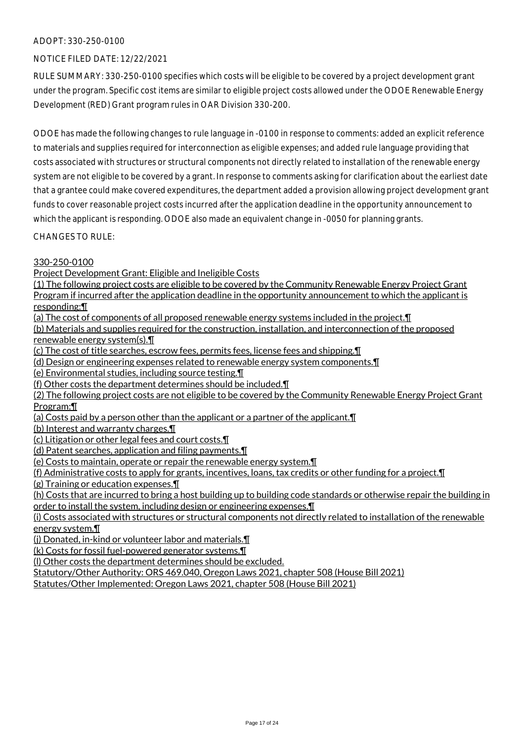# NOTICE FILED DATE: 12/22/2021

RULE SUMMARY: 330-250-0100 specifies which costs will be eligible to be covered by a project development grant under the program. Specific cost items are similar to eligible project costs allowed under the ODOE Renewable Energy Development (RED) Grant program rules in OAR Division 330-200.

ODOE has made the following changes to rule language in -0100 in response to comments: added an explicit reference to materials and supplies required for interconnection as eligible expenses; and added rule language providing that costs associated with structures or structural components not directly related to installation of the renewable energy system are not eligible to be covered by a grant. In response to comments asking for clarification about the earliest date that a grantee could make covered expenditures, the department added a provision allowing project development grant funds to cover reasonable project costs incurred after the application deadline in the opportunity announcement to which the applicant is responding. ODOE also made an equivalent change in -0050 for planning grants.

CHANGES TO RULE:

## 330-250-0100

Project Development Grant: Eligible and Ineligible Costs

(1) The following project costs are eligible to be covered by the Community Renewable Energy Project Grant Program if incurred after the application deadline in the opportunity announcement to which the applicant is responding:¶

(a) The cost of components of all proposed renewable energy systems included in the project.¶

(b) Materials and supplies required for the construction, installation, and interconnection of the proposed renewable energy system(s).¶

(c) The cost of title searches, escrow fees, permits fees, license fees and shipping.¶

(d) Design or engineering expenses related to renewable energy system components.¶

(e) Environmental studies, including source testing.¶

(f) Other costs the department determines should be included.¶

(2) The following project costs are not eligible to be covered by the Community Renewable Energy Project Grant Program:¶

(a) Costs paid by a person other than the applicant or a partner of the applicant.¶

(b) Interest and warranty charges.¶

(c) Litigation or other legal fees and court costs.¶

(d) Patent searches, application and filing payments.¶

(e) Costs to maintain, operate or repair the renewable energy system.¶

(f) Administrative costs to apply for grants, incentives, loans, tax credits or other funding for a project.¶

(g) Training or education expenses.¶

(h) Costs that are incurred to bring a host building up to building code standards or otherwise repair the building in order to install the system, including design or engineering expenses.¶

(i) Costs associated with structures or structural components not directly related to installation of the renewable energy system.¶

(j) Donated, in-kind or volunteer labor and materials.¶

(k) Costs for fossil fuel-powered generator systems.¶

(l) Other costs the department determines should be excluded.

Statutory/Other Authority: ORS 469.040, Oregon Laws 2021, chapter 508 (House Bill 2021)

Statutes/Other Implemented: Oregon Laws 2021, chapter 508 (House Bill 2021)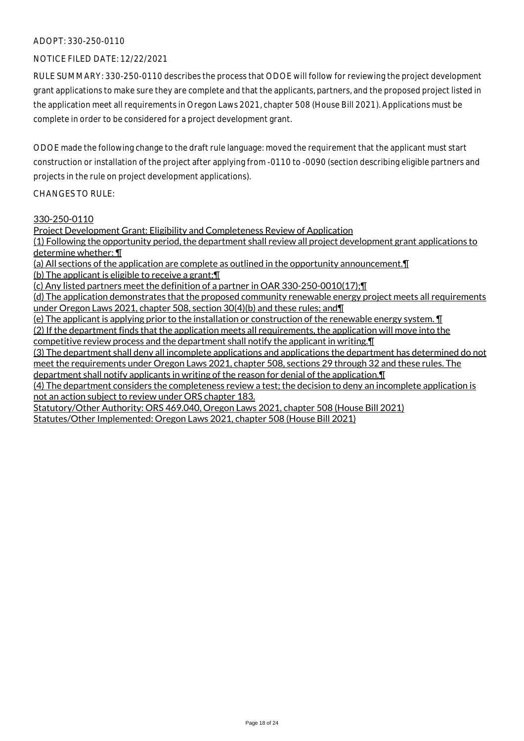### NOTICE FILED DATE: 12/22/2021

RULE SUMMARY: 330-250-0110 describes the process that ODOE will follow for reviewing the project development grant applications to make sure they are complete and that the applicants, partners, and the proposed project listed in the application meet all requirements in Oregon Laws 2021, chapter 508 (House Bill 2021). Applications must be complete in order to be considered for a project development grant.

ODOE made the following change to the draft rule language: moved the requirement that the applicant must start construction or installation of the project after applying from -0110 to -0090 (section describing eligible partners and projects in the rule on project development applications).

#### CHANGES TO RULE:

#### 330-250-0110

Project Development Grant: Eligibility and Completeness Review of Application (1) Following the opportunity period, the department shall review all project development grant applications to determine whether: ¶ (a) All sections of the application are complete as outlined in the opportunity announcement.¶ (b) The applicant is eligible to receive a grant;¶ (c) Any listed partners meet the definition of a partner in OAR 330-250-0010(17);¶ (d) The application demonstrates that the proposed community renewable energy project meets all requirements under Oregon Laws 2021, chapter 508, section 30(4)(b) and these rules; and¶ (e) The applicant is applying prior to the installation or construction of the renewable energy system. ¶ (2) If the department finds that the application meets all requirements, the application will move into the competitive review process and the department shall notify the applicant in writing.¶ (3) The department shall deny all incomplete applications and applications the department has determined do not meet the requirements under Oregon Laws 2021, chapter 508, sections 29 through 32 and these rules. The department shall notify applicants in writing of the reason for denial of the application.¶ (4) The department considers the completeness review a test; the decision to deny an incomplete application is not an action subject to review under ORS chapter 183.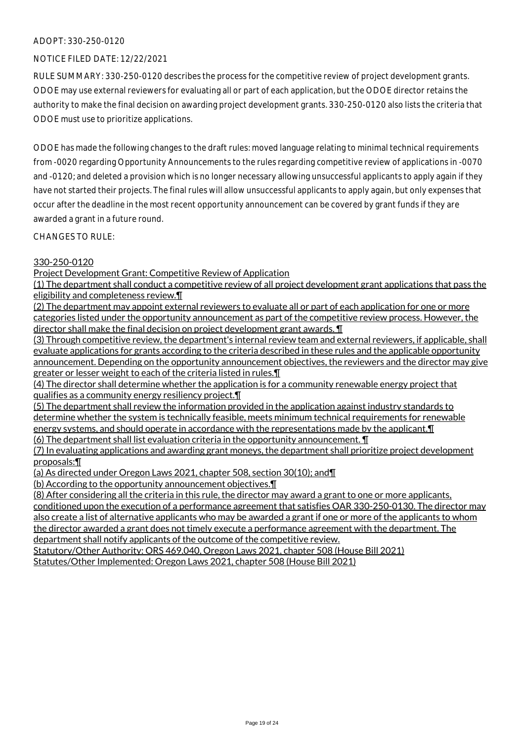## NOTICE FILED DATE: 12/22/2021

RULE SUMMARY: 330-250-0120 describes the process for the competitive review of project development grants. ODOE may use external reviewers for evaluating all or part of each application, but the ODOE director retains the authority to make the final decision on awarding project development grants. 330-250-0120 also lists the criteria that ODOE must use to prioritize applications.

ODOE has made the following changes to the draft rules: moved language relating to minimal technical requirements from -0020 regarding Opportunity Announcements to the rules regarding competitive review of applications in -0070 and -0120; and deleted a provision which is no longer necessary allowing unsuccessful applicants to apply again if they have not started their projects. The final rules will allow unsuccessful applicants to apply again, but only expenses that occur after the deadline in the most recent opportunity announcement can be covered by grant funds if they are awarded a grant in a future round.

CHANGES TO RULE:

# 330-250-0120

Project Development Grant: Competitive Review of Application

(1) The department shall conduct a competitive review of all project development grant applications that pass the eligibility and completeness review.¶

(2) The department may appoint external reviewers to evaluate all or part of each application for one or more categories listed under the opportunity announcement as part of the competitive review process. However, the director shall make the final decision on project development grant awards. ¶

(3) Through competitive review, the department's internal review team and external reviewers, if applicable, shall evaluate applications for grants according to the criteria described in these rules and the applicable opportunity announcement. Depending on the opportunity announcement objectives, the reviewers and the director may give greater or lesser weight to each of the criteria listed in rules.¶

(4) The director shall determine whether the application is for a community renewable energy project that qualifies as a community energy resiliency project.¶

(5) The department shall review the information provided in the application against industry standards to determine whether the system is technically feasible, meets minimum technical requirements for renewable energy systems, and should operate in accordance with the representations made by the applicant.¶

(6) The department shall list evaluation criteria in the opportunity announcement. ¶

(7) In evaluating applications and awarding grant moneys, the department shall prioritize project development proposals:¶

(a) As directed under Oregon Laws 2021, chapter 508, section 30(10); and¶

(b) According to the opportunity announcement objectives.¶

(8) After considering all the criteria in this rule, the director may award a grant to one or more applicants, conditioned upon the execution of a performance agreement that satisfies OAR 330-250-0130. The director may also create a list of alternative applicants who may be awarded a grant if one or more of the applicants to whom the director awarded a grant does not timely execute a performance agreement with the department. The department shall notify applicants of the outcome of the competitive review.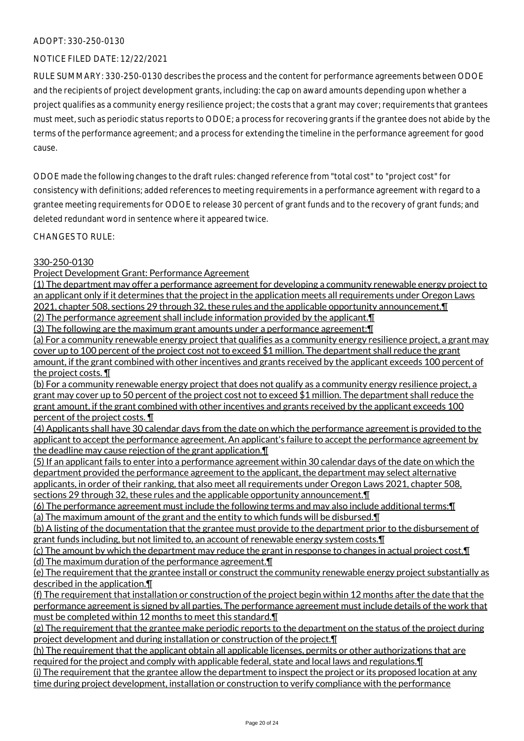## NOTICE FILED DATE: 12/22/2021

RULE SUMMARY: 330-250-0130 describes the process and the content for performance agreements between ODOE and the recipients of project development grants, including: the cap on award amounts depending upon whether a project qualifies as a community energy resilience project; the costs that a grant may cover; requirements that grantees must meet, such as periodic status reports to ODOE; a process for recovering grants if the grantee does not abide by the terms of the performance agreement; and a process for extending the timeline in the performance agreement for good cause.

ODOE made the following changes to the draft rules: changed reference from "total cost" to "project cost" for consistency with definitions; added references to meeting requirements in a performance agreement with regard to a grantee meeting requirements for ODOE to release 30 percent of grant funds and to the recovery of grant funds; and deleted redundant word in sentence where it appeared twice.

CHANGES TO RULE:

# 330-250-0130

Project Development Grant: Performance Agreement

(1) The department may offer a performance agreement for developing a community renewable energy project to an applicant only if it determines that the project in the application meets all requirements under Oregon Laws 2021, chapter 508, sections 29 through 32, these rules and the applicable opportunity announcement. I

(2) The performance agreement shall include information provided by the applicant.¶ (3) The following are the maximum grant amounts under a performance agreement:¶

(a) For a community renewable energy project that qualifies as a community energy resilience project, a grant may cover up to 100 percent of the project cost not to exceed \$1 million. The department shall reduce the grant amount, if the grant combined with other incentives and grants received by the applicant exceeds 100 percent of the project costs. ¶

(b) For a community renewable energy project that does not qualify as a community energy resilience project, a grant may cover up to 50 percent of the project cost not to exceed \$1 million. The department shall reduce the grant amount, if the grant combined with other incentives and grants received by the applicant exceeds 100 percent of the project costs. ¶

(4) Applicants shall have 30 calendar days from the date on which the performance agreement is provided to the applicant to accept the performance agreement. An applicant's failure to accept the performance agreement by the deadline may cause rejection of the grant application.¶

(5) If an applicant fails to enter into a performance agreement within 30 calendar days of the date on which the department provided the performance agreement to the applicant, the department may select alternative applicants, in order of their ranking, that also meet all requirements under Oregon Laws 2021, chapter 508, sections 29 through 32, these rules and the applicable opportunity announcement.

(6) The performance agreement must include the following terms and may also include additional terms:¶ (a) The maximum amount of the grant and the entity to which funds will be disbursed.¶

(b) A listing of the documentation that the grantee must provide to the department prior to the disbursement of grant funds including, but not limited to, an account of renewable energy system costs.¶

(c) The amount by which the department may reduce the grant in response to changes in actual project cost.¶ (d) The maximum duration of the performance agreement.¶

(e) The requirement that the grantee install or construct the community renewable energy project substantially as described in the application.¶

(f) The requirement that installation or construction of the project begin within 12 months after the date that the performance agreement is signed by all parties. The performance agreement must include details of the work that must be completed within 12 months to meet this standard.¶

(g) The requirement that the grantee make periodic reports to the department on the status of the project during project development and during installation or construction of the project.¶

(h) The requirement that the applicant obtain all applicable licenses, permits or other authorizations that are required for the project and comply with applicable federal, state and local laws and regulations.¶

(i) The requirement that the grantee allow the department to inspect the project or its proposed location at any time during project development, installation or construction to verify compliance with the performance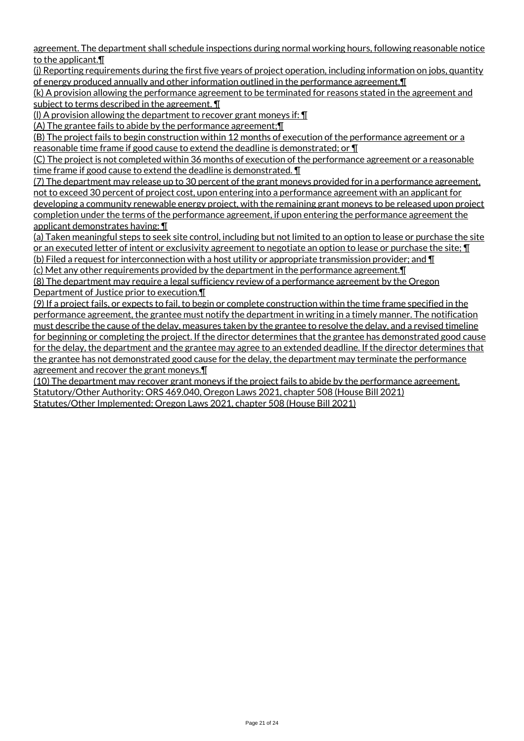agreement. The department shall schedule inspections during normal working hours, following reasonable notice to the applicant.¶

(j) Reporting requirements during the first five years of project operation, including information on jobs, quantity of energy produced annually and other information outlined in the performance agreement. I

(k) A provision allowing the performance agreement to be terminated for reasons stated in the agreement and subject to terms described in the agreement. ¶

(l) A provision allowing the department to recover grant moneys if: ¶

(A) The grantee fails to abide by the performance agreement;¶

(B) The project fails to begin construction within 12 months of execution of the performance agreement or a reasonable time frame if good cause to extend the deadline is demonstrated; or ¶

(C) The project is not completed within 36 months of execution of the performance agreement or a reasonable time frame if good cause to extend the deadline is demonstrated. ¶

(7) The department may release up to 30 percent of the grant moneys provided for in a performance agreement, not to exceed 30 percent of project cost, upon entering into a performance agreement with an applicant for developing a community renewable energy project, with the remaining grant moneys to be released upon project completion under the terms of the performance agreement, if upon entering the performance agreement the applicant demonstrates having: ¶

(a) Taken meaningful steps to seek site control, including but not limited to an option to lease or purchase the site or an executed letter of intent or exclusivity agreement to negotiate an option to lease or purchase the site; ¶

(b) Filed a request for interconnection with a host utility or appropriate transmission provider; and  $\P$ (c) Met any other requirements provided by the department in the performance agreement.¶

(8) The department may require a legal sufficiency review of a performance agreement by the Oregon Department of Justice prior to execution.¶

(9) If a project fails, or expects to fail, to begin or complete construction within the time frame specified in the performance agreement, the grantee must notify the department in writing in a timely manner. The notification must describe the cause of the delay, measures taken by the grantee to resolve the delay, and a revised timeline for beginning or completing the project. If the director determines that the grantee has demonstrated good cause for the delay, the department and the grantee may agree to an extended deadline. If the director determines that the grantee has not demonstrated good cause for the delay, the department may terminate the performance agreement and recover the grant moneys.¶

(10) The department may recover grant moneys if the project fails to abide by the performance agreement. Statutory/Other Authority: ORS 469.040, Oregon Laws 2021, chapter 508 (House Bill 2021) Statutes/Other Implemented: Oregon Laws 2021, chapter 508 (House Bill 2021)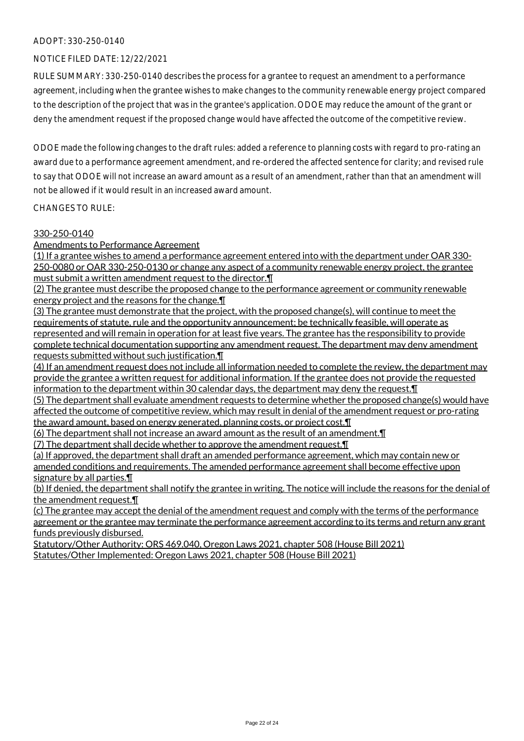## NOTICE FILED DATE: 12/22/2021

RULE SUMMARY: 330-250-0140 describes the process for a grantee to request an amendment to a performance agreement, including when the grantee wishes to make changes to the community renewable energy project compared to the description of the project that was in the grantee's application. ODOE may reduce the amount of the grant or deny the amendment request if the proposed change would have affected the outcome of the competitive review.

ODOE made the following changes to the draft rules: added a reference to planning costs with regard to pro-rating an award due to a performance agreement amendment, and re-ordered the affected sentence for clarity; and revised rule to say that ODOE will not increase an award amount as a result of an amendment, rather than that an amendment will not be allowed if it would result in an increased award amount.

CHANGES TO RULE:

#### 330-250-0140

Amendments to Performance Agreement

(1) If a grantee wishes to amend a performance agreement entered into with the department under OAR 330- 250-0080 or OAR 330-250-0130 or change any aspect of a community renewable energy project, the grantee must submit a written amendment request to the director.¶

(2) The grantee must describe the proposed change to the performance agreement or community renewable energy project and the reasons for the change.¶

(3) The grantee must demonstrate that the project, with the proposed change(s), will continue to meet the requirements of statute, rule and the opportunity announcement; be technically feasible, will operate as represented and will remain in operation for at least five years. The grantee has the responsibility to provide complete technical documentation supporting any amendment request. The department may deny amendment requests submitted without such justification. $\P$ 

(4) If an amendment request does not include all information needed to complete the review, the department may provide the grantee a written request for additional information. If the grantee does not provide the requested information to the department within 30 calendar days, the department may deny the request.¶

(5) The department shall evaluate amendment requests to determine whether the proposed change(s) would have affected the outcome of competitive review, which may result in denial of the amendment request or pro-rating the award amount, based on energy generated, planning costs, or project cost.¶

(6) The department shall not increase an award amount as the result of an amendment.¶

(7) The department shall decide whether to approve the amendment request.¶

(a) If approved, the department shall draft an amended performance agreement, which may contain new or amended conditions and requirements. The amended performance agreement shall become effective upon signature by all parties.¶

(b) If denied, the department shall notify the grantee in writing. The notice will include the reasons for the denial of the amendment request.¶

(c) The grantee may accept the denial of the amendment request and comply with the terms of the performance agreement or the grantee may terminate the performance agreement according to its terms and return any grant funds previously disbursed.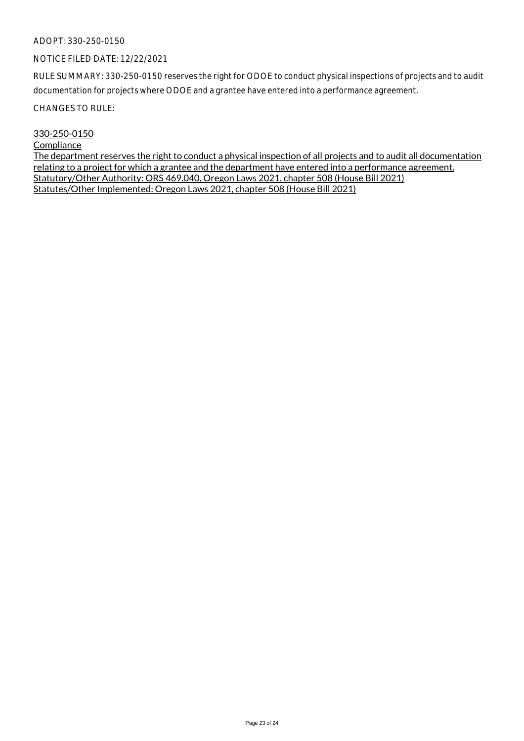#### NOTICE FILED DATE: 12/22/2021

RULE SUMMARY: 330-250-0150 reserves the right for ODOE to conduct physical inspections of projects and to audit documentation for projects where ODOE and a grantee have entered into a performance agreement.

CHANGES TO RULE:

#### 330-250-0150

# **Compliance**

The department reserves the right to conduct a physical inspection of all projects and to audit all documentation relating to a project for which a grantee and the department have entered into a performance agreement. Statutory/Other Authority: ORS 469.040, Oregon Laws 2021, chapter 508 (House Bill 2021) Statutes/Other Implemented: Oregon Laws 2021, chapter 508 (House Bill 2021)